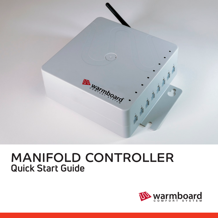

## MANIFOLD CONTROLLER **Quick Start Guide**

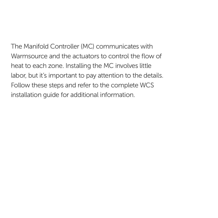The Manifold Controller (MC) communicates with Warmsource and the actuators to control the flow of heat to each zone. Installing the MC involves little labor, but it's important to pay attention to the details. Follow these steps and refer to the complete WCS installation guide for additional information.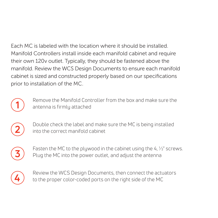Each MC is labeled with the location where it should be installed. Manifold Controllers install inside each manifold cabinet and require their own 120v outlet. Typically, they should be fastened above the manifold. Review the WCS Design Documents to ensure each manifold cabinet is sized and constructed properly based on our specifications prior to installation of the MC.



Remove the Manifold Controller from the box and make sure the antenna is firmly attached



Double check the label and make sure the MC is being installed into the correct manifold cabinet



Fasten the MC to the plywood in the cabinet using the 4,  $\frac{1}{2}$ " screws. Plug the MC into the power outlet, and adjust the antenna



Review the WCS Design Documents, then connect the actuators to the proper color-coded ports on the right side of the MC